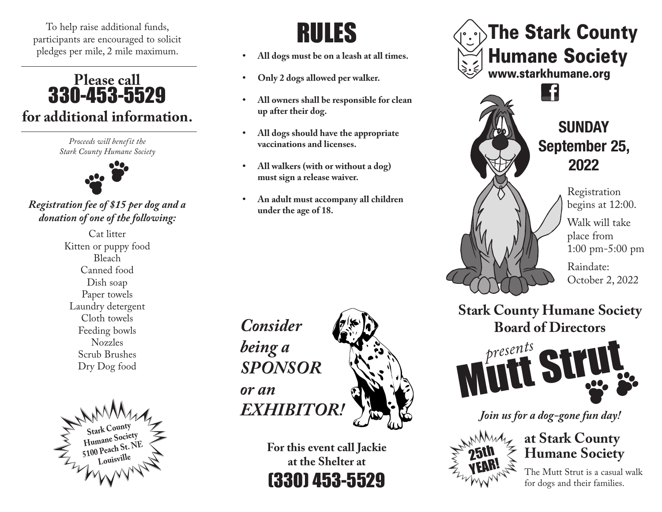To help raise additional funds,<br>
participants are encouraged to solicit pledges per mile, 2 mile maximum.

## **Please call**  330-453-5529 **for additional information.**

*Proceeds will benefit the Stark County Humane Society*



## *Registration fee of \$15 per dog and a donation of one of the following:*

Cat litter Kitten or puppy food Bleach Canned food Dish soap Paper towels Laundry detergent Cloth towels Feeding bowls Nozzles Scrub Brushes Dry Dog food



- **All dogs must be on a leash at all times.**
- **Only 2 dogs allowed per walker.**
- **All owners shall be responsible for clean up after their dog.**
- **All dogs should have the appropriate vaccinations and licenses.**
- **All walkers (with or without a dog) must sign a release waiver.**
- **An adult must accompany all children under the age of 18.**



**For this event call Jackie at the Shelter at** (330) 453-5529



## **Stark County Humane Society Board of Directors**



*Join us for a dog-gone fun day!*



The Mutt Strut is a casual walk for dogs and their families.